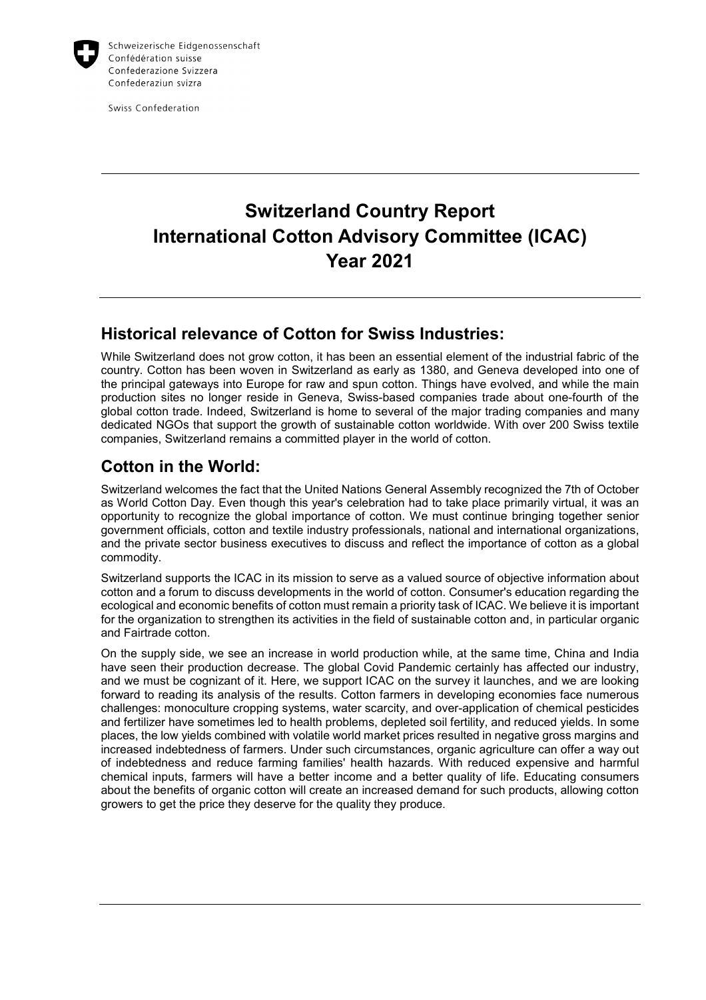

Swiss Confederation

# **Switzerland Country Report International Cotton Advisory Committee (ICAC) Year 2021**

### **Historical relevance of Cotton for Swiss Industries:**

While Switzerland does not grow cotton, it has been an essential element of the industrial fabric of the country. Cotton has been woven in Switzerland as early as 1380, and Geneva developed into one of the principal gateways into Europe for raw and spun cotton. Things have evolved, and while the main production sites no longer reside in Geneva, Swiss-based companies trade about one-fourth of the global cotton trade. Indeed, Switzerland is home to several of the major trading companies and many dedicated NGOs that support the growth of sustainable cotton worldwide. With over 200 Swiss textile companies, Switzerland remains a committed player in the world of cotton.

## **Cotton in the World:**

Switzerland welcomes the fact that the United Nations General Assembly recognized the 7th of October as World Cotton Day. Even though this year's celebration had to take place primarily virtual, it was an opportunity to recognize the global importance of cotton. We must continue bringing together senior government officials, cotton and textile industry professionals, national and international organizations, and the private sector business executives to discuss and reflect the importance of cotton as a global commodity.

Switzerland supports the ICAC in its mission to serve as a valued source of objective information about cotton and a forum to discuss developments in the world of cotton. Consumer's education regarding the ecological and economic benefits of cotton must remain a priority task of ICAC. We believe it is important for the organization to strengthen its activities in the field of sustainable cotton and, in particular organic and Fairtrade cotton.

On the supply side, we see an increase in world production while, at the same time, China and India have seen their production decrease. The global Covid Pandemic certainly has affected our industry, and we must be cognizant of it. Here, we support ICAC on the survey it launches, and we are looking forward to reading its analysis of the results. Cotton farmers in developing economies face numerous challenges: monoculture cropping systems, water scarcity, and over-application of chemical pesticides and fertilizer have sometimes led to health problems, depleted soil fertility, and reduced yields. In some places, the low yields combined with volatile world market prices resulted in negative gross margins and increased indebtedness of farmers. Under such circumstances, organic agriculture can offer a way out of indebtedness and reduce farming families' health hazards. With reduced expensive and harmful chemical inputs, farmers will have a better income and a better quality of life. Educating consumers about the benefits of organic cotton will create an increased demand for such products, allowing cotton growers to get the price they deserve for the quality they produce.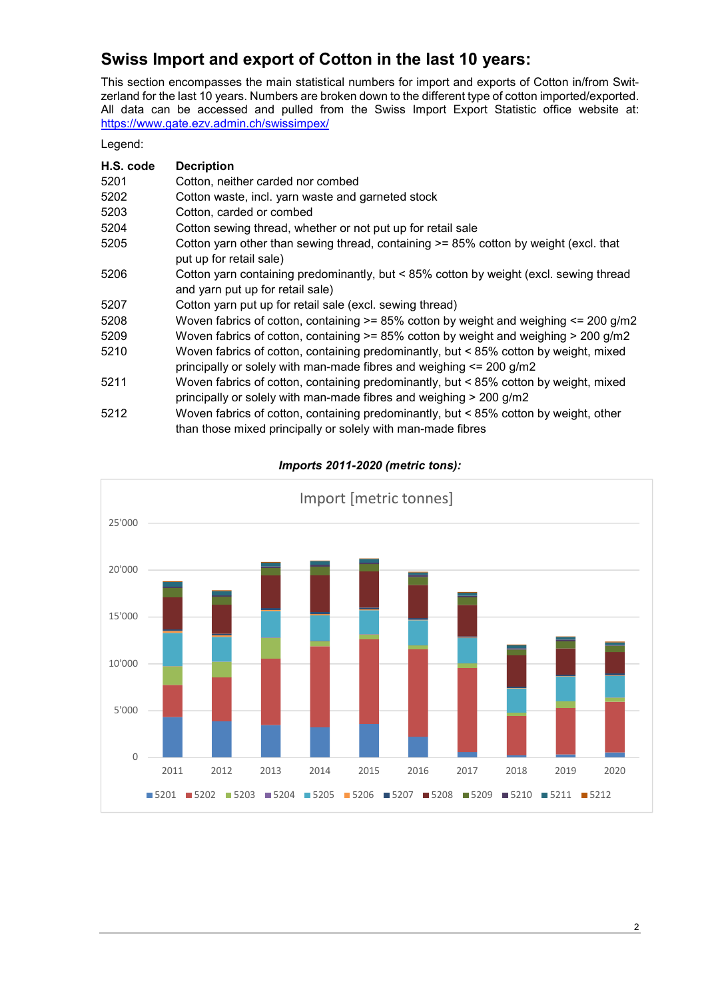# **Swiss Import and export of Cotton in the last 10 years:**

This section encompasses the main statistical numbers for import and exports of Cotton in/from Switzerland for the last 10 years. Numbers are broken down to the different type of cotton imported/exported. All data can be accessed and pulled from the Swiss Import Export Statistic office website at: https://www.gate.ezv.admin.ch/swissimpex/

Legend:

| H.S. code | <b>Decription</b>                                                                                                                                           |
|-----------|-------------------------------------------------------------------------------------------------------------------------------------------------------------|
| 5201      | Cotton, neither carded nor combed                                                                                                                           |
| 5202      | Cotton waste, incl. yarn waste and garneted stock                                                                                                           |
| 5203      | Cotton, carded or combed                                                                                                                                    |
| 5204      | Cotton sewing thread, whether or not put up for retail sale                                                                                                 |
| 5205      | Cotton yarn other than sewing thread, containing $\geq$ 85% cotton by weight (excl. that<br>put up for retail sale)                                         |
| 5206      | Cotton yarn containing predominantly, but < 85% cotton by weight (excl. sewing thread<br>and yarn put up for retail sale)                                   |
| 5207      | Cotton yarn put up for retail sale (excl. sewing thread)                                                                                                    |
| 5208      | Woven fabrics of cotton, containing $>= 85\%$ cotton by weight and weighing $<= 200$ g/m2                                                                   |
| 5209      | Woven fabrics of cotton, containing $>= 85\%$ cotton by weight and weighing $> 200$ g/m2                                                                    |
| 5210      | Woven fabrics of cotton, containing predominantly, but < 85% cotton by weight, mixed<br>principally or solely with man-made fibres and weighing <= 200 g/m2 |
| 5211      | Woven fabrics of cotton, containing predominantly, but < 85% cotton by weight, mixed<br>principally or solely with man-made fibres and weighing > 200 g/m2  |
| 5212      | Woven fabrics of cotton, containing predominantly, but < 85% cotton by weight, other<br>than those mixed principally or solely with man-made fibres         |



*Imports 2011-2020 (metric tons):*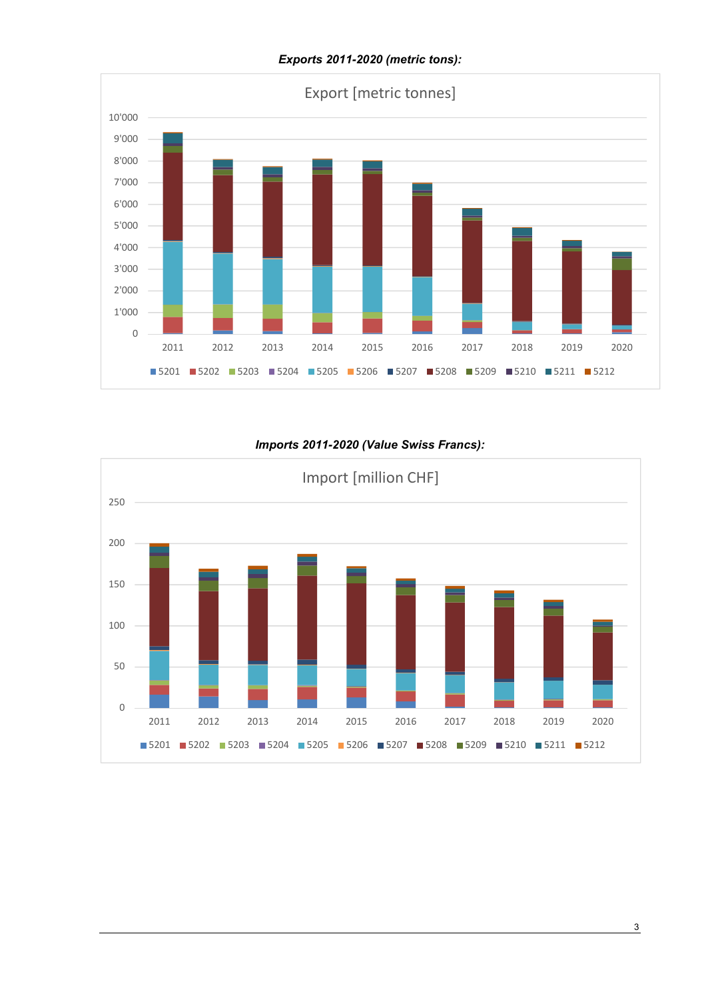

#### *Exports 2011-2020 (metric tons):*

#### *Imports 2011-2020 (Value Swiss Francs):*

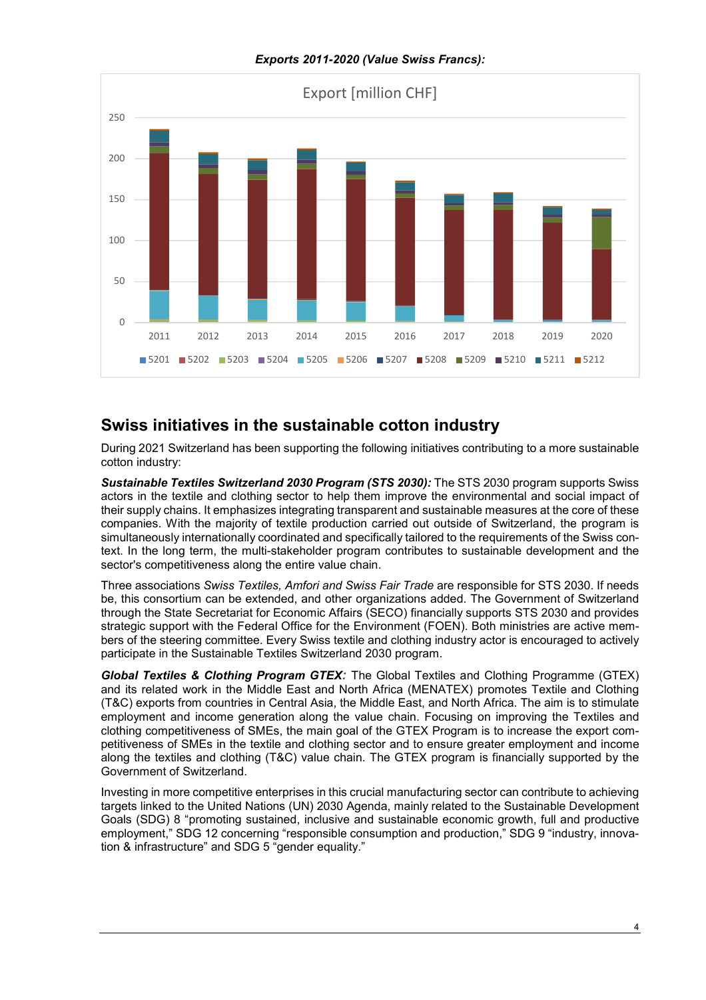*Exports 2011-2020 (Value Swiss Francs):* 



### **Swiss initiatives in the sustainable cotton industry**

During 2021 Switzerland has been supporting the following initiatives contributing to a more sustainable cotton industry:

*Sustainable Textiles Switzerland 2030 Program (STS 2030):* The STS 2030 program supports Swiss actors in the textile and clothing sector to help them improve the environmental and social impact of their supply chains. It emphasizes integrating transparent and sustainable measures at the core of these companies. With the majority of textile production carried out outside of Switzerland, the program is simultaneously internationally coordinated and specifically tailored to the requirements of the Swiss context. In the long term, the multi-stakeholder program contributes to sustainable development and the sector's competitiveness along the entire value chain.

Three associations *Swiss Textiles, Amfori and Swiss Fair Trade* are responsible for STS 2030. If needs be, this consortium can be extended, and other organizations added. The Government of Switzerland through the State Secretariat for Economic Affairs (SECO) financially supports STS 2030 and provides strategic support with the Federal Office for the Environment (FOEN). Both ministries are active members of the steering committee. Every Swiss textile and clothing industry actor is encouraged to actively participate in the Sustainable Textiles Switzerland 2030 program.

*Global Textiles & Clothing Program GTEX:* The Global Textiles and Clothing Programme (GTEX) and its related work in the Middle East and North Africa (MENATEX) promotes Textile and Clothing (T&C) exports from countries in Central Asia, the Middle East, and North Africa. The aim is to stimulate employment and income generation along the value chain. Focusing on improving the Textiles and clothing competitiveness of SMEs, the main goal of the GTEX Program is to increase the export competitiveness of SMEs in the textile and clothing sector and to ensure greater employment and income along the textiles and clothing (T&C) value chain. The GTEX program is financially supported by the Government of Switzerland.

Investing in more competitive enterprises in this crucial manufacturing sector can contribute to achieving targets linked to the United Nations (UN) 2030 Agenda, mainly related to the Sustainable Development Goals (SDG) 8 "promoting sustained, inclusive and sustainable economic growth, full and productive employment," SDG 12 concerning "responsible consumption and production," SDG 9 "industry, innovation & infrastructure" and SDG 5 "gender equality."